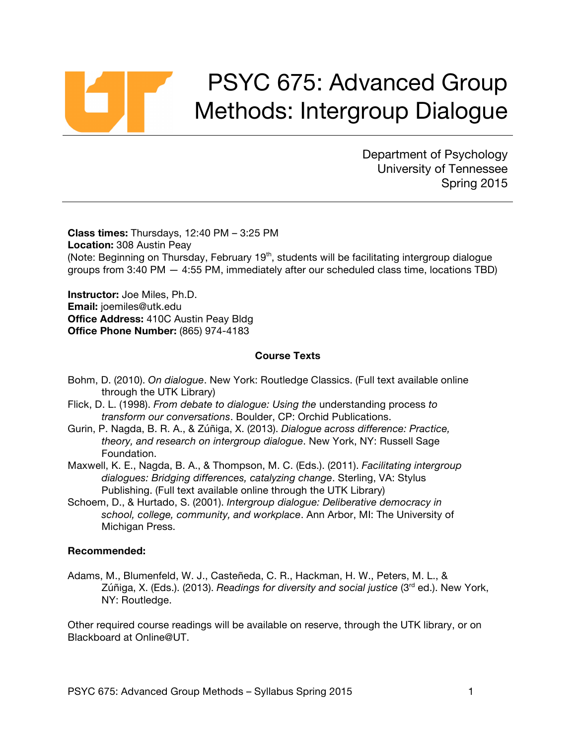# PSYC 675: Advanced Group Methods: Intergroup Dialogue

Department of Psychology University of Tennessee Spring 2015

**Class times:** Thursdays, 12:40 PM – 3:25 PM **Location:** 308 Austin Peay (Note: Beginning on Thursday, February 19<sup>th</sup>, students will be facilitating intergroup dialogue groups from 3:40 PM — 4:55 PM, immediately after our scheduled class time, locations TBD)

**Instructor:** Joe Miles, Ph.D. **Email:** joemiles@utk.edu **Office Address:** 410C Austin Peay Bldg **Office Phone Number:** (865) 974-4183

#### **Course Texts**

- Bohm, D. (2010). *On dialogue*. New York: Routledge Classics. (Full text available online through the UTK Library)
- Flick, D. L. (1998). *From debate to dialogue: Using the* understanding process *to transform our conversations*. Boulder, CP: Orchid Publications.
- Gurin, P. Nagda, B. R. A., & Zúñiga, X. (2013). *Dialogue across difference: Practice, theory, and research on intergroup dialogue*. New York, NY: Russell Sage Foundation.
- Maxwell, K. E., Nagda, B. A., & Thompson, M. C. (Eds.). (2011). *Facilitating intergroup dialogues: Bridging differences, catalyzing change*. Sterling, VA: Stylus Publishing. (Full text available online through the UTK Library)
- Schoem, D., & Hurtado, S. (2001). *Intergroup dialogue: Deliberative democracy in school, college, community, and workplace*. Ann Arbor, MI: The University of Michigan Press.

#### **Recommended:**

Adams, M., Blumenfeld, W. J., Casteñeda, C. R., Hackman, H. W., Peters, M. L., & Zúñiga, X. (Eds.). (2013). *Readings for diversity and social justice* (3rd ed.). New York, NY: Routledge.

Other required course readings will be available on reserve, through the UTK library, or on Blackboard at Online@UT.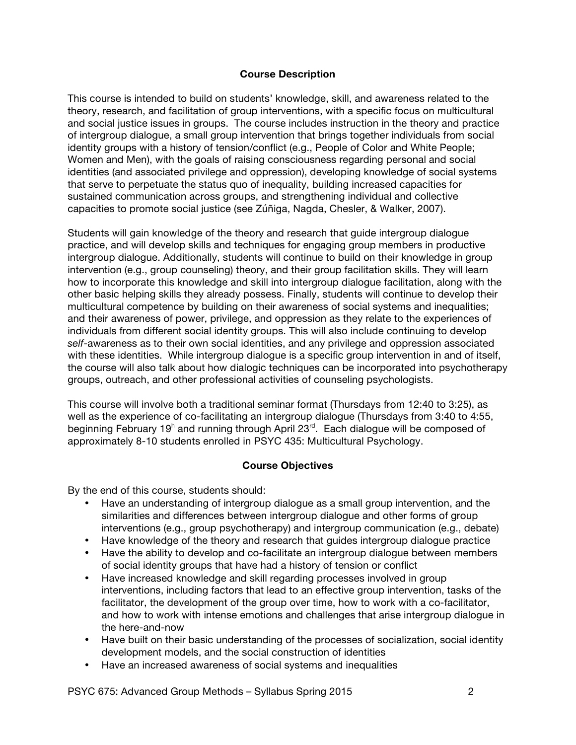#### **Course Description**

This course is intended to build on students' knowledge, skill, and awareness related to the theory, research, and facilitation of group interventions, with a specific focus on multicultural and social justice issues in groups. The course includes instruction in the theory and practice of intergroup dialogue, a small group intervention that brings together individuals from social identity groups with a history of tension/conflict (e.g., People of Color and White People; Women and Men), with the goals of raising consciousness regarding personal and social identities (and associated privilege and oppression), developing knowledge of social systems that serve to perpetuate the status quo of inequality, building increased capacities for sustained communication across groups, and strengthening individual and collective capacities to promote social justice (see Zúñiga, Nagda, Chesler, & Walker, 2007).

Students will gain knowledge of the theory and research that guide intergroup dialogue practice, and will develop skills and techniques for engaging group members in productive intergroup dialogue. Additionally, students will continue to build on their knowledge in group intervention (e.g., group counseling) theory, and their group facilitation skills. They will learn how to incorporate this knowledge and skill into intergroup dialogue facilitation, along with the other basic helping skills they already possess. Finally, students will continue to develop their multicultural competence by building on their awareness of social systems and inequalities; and their awareness of power, privilege, and oppression as they relate to the experiences of individuals from different social identity groups. This will also include continuing to develop *self*-awareness as to their own social identities, and any privilege and oppression associated with these identities. While intergroup dialogue is a specific group intervention in and of itself, the course will also talk about how dialogic techniques can be incorporated into psychotherapy groups, outreach, and other professional activities of counseling psychologists.

This course will involve both a traditional seminar format (Thursdays from 12:40 to 3:25), as well as the experience of co-facilitating an intergroup dialogue (Thursdays from 3:40 to 4:55, beginning February 19<sup>h</sup> and running through April 23<sup>rd</sup>. Each dialogue will be composed of approximately 8-10 students enrolled in PSYC 435: Multicultural Psychology.

# **Course Objectives**

By the end of this course, students should:

- Have an understanding of intergroup dialogue as a small group intervention, and the similarities and differences between intergroup dialogue and other forms of group interventions (e.g., group psychotherapy) and intergroup communication (e.g., debate)
- Have knowledge of the theory and research that guides intergroup dialogue practice
- Have the ability to develop and co-facilitate an intergroup dialogue between members of social identity groups that have had a history of tension or conflict
- Have increased knowledge and skill regarding processes involved in group interventions, including factors that lead to an effective group intervention, tasks of the facilitator, the development of the group over time, how to work with a co-facilitator, and how to work with intense emotions and challenges that arise intergroup dialogue in the here-and-now
- Have built on their basic understanding of the processes of socialization, social identity development models, and the social construction of identities
- Have an increased awareness of social systems and inequalities

PSYC 675: Advanced Group Methods – Syllabus Spring 2015 2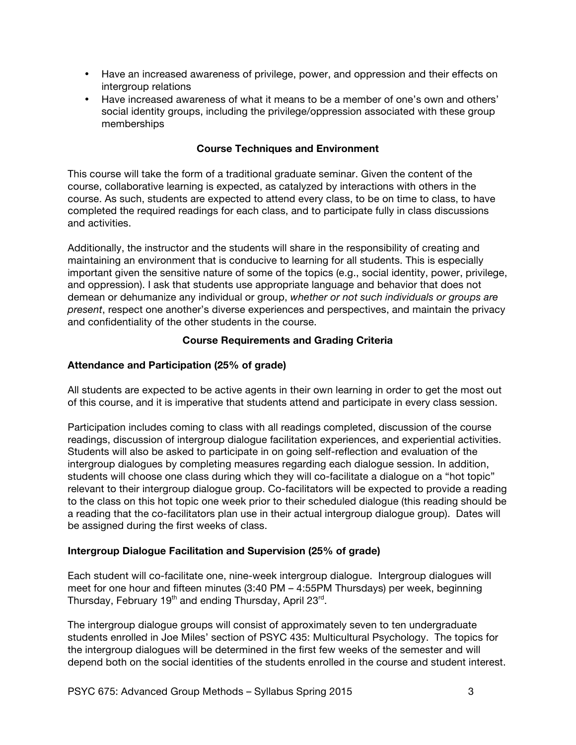- Have an increased awareness of privilege, power, and oppression and their effects on intergroup relations
- Have increased awareness of what it means to be a member of one's own and others' social identity groups, including the privilege/oppression associated with these group memberships

# **Course Techniques and Environment**

This course will take the form of a traditional graduate seminar. Given the content of the course, collaborative learning is expected, as catalyzed by interactions with others in the course. As such, students are expected to attend every class, to be on time to class, to have completed the required readings for each class, and to participate fully in class discussions and activities.

Additionally, the instructor and the students will share in the responsibility of creating and maintaining an environment that is conducive to learning for all students. This is especially important given the sensitive nature of some of the topics (e.g., social identity, power, privilege, and oppression). I ask that students use appropriate language and behavior that does not demean or dehumanize any individual or group, *whether or not such individuals or groups are present*, respect one another's diverse experiences and perspectives, and maintain the privacy and confidentiality of the other students in the course.

# **Course Requirements and Grading Criteria**

# **Attendance and Participation (25% of grade)**

All students are expected to be active agents in their own learning in order to get the most out of this course, and it is imperative that students attend and participate in every class session.

Participation includes coming to class with all readings completed, discussion of the course readings, discussion of intergroup dialogue facilitation experiences, and experiential activities. Students will also be asked to participate in on going self-reflection and evaluation of the intergroup dialogues by completing measures regarding each dialogue session. In addition, students will choose one class during which they will co-facilitate a dialogue on a "hot topic" relevant to their intergroup dialogue group. Co-facilitators will be expected to provide a reading to the class on this hot topic one week prior to their scheduled dialogue (this reading should be a reading that the co-facilitators plan use in their actual intergroup dialogue group). Dates will be assigned during the first weeks of class.

# **Intergroup Dialogue Facilitation and Supervision (25% of grade)**

Each student will co-facilitate one, nine-week intergroup dialogue. Intergroup dialogues will meet for one hour and fifteen minutes (3:40 PM – 4:55PM Thursdays) per week, beginning Thursday, February 19<sup>th</sup> and ending Thursday, April 23<sup>rd</sup>.

The intergroup dialogue groups will consist of approximately seven to ten undergraduate students enrolled in Joe Miles' section of PSYC 435: Multicultural Psychology. The topics for the intergroup dialogues will be determined in the first few weeks of the semester and will depend both on the social identities of the students enrolled in the course and student interest.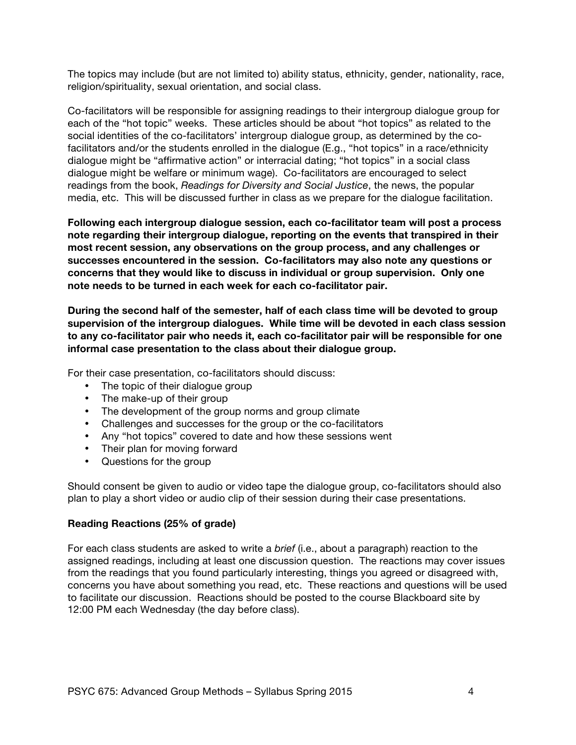The topics may include (but are not limited to) ability status, ethnicity, gender, nationality, race, religion/spirituality, sexual orientation, and social class.

Co-facilitators will be responsible for assigning readings to their intergroup dialogue group for each of the "hot topic" weeks. These articles should be about "hot topics" as related to the social identities of the co-facilitators' intergroup dialogue group, as determined by the cofacilitators and/or the students enrolled in the dialogue (E.g., "hot topics" in a race/ethnicity dialogue might be "affirmative action" or interracial dating; "hot topics" in a social class dialogue might be welfare or minimum wage). Co-facilitators are encouraged to select readings from the book, *Readings for Diversity and Social Justice*, the news, the popular media, etc. This will be discussed further in class as we prepare for the dialogue facilitation.

**Following each intergroup dialogue session, each co-facilitator team will post a process note regarding their intergroup dialogue, reporting on the events that transpired in their most recent session, any observations on the group process, and any challenges or successes encountered in the session. Co-facilitators may also note any questions or concerns that they would like to discuss in individual or group supervision. Only one note needs to be turned in each week for each co-facilitator pair.**

**During the second half of the semester, half of each class time will be devoted to group supervision of the intergroup dialogues. While time will be devoted in each class session to any co-facilitator pair who needs it, each co-facilitator pair will be responsible for one informal case presentation to the class about their dialogue group.** 

For their case presentation, co-facilitators should discuss:

- The topic of their dialogue group
- The make-up of their group
- The development of the group norms and group climate
- Challenges and successes for the group or the co-facilitators
- Any "hot topics" covered to date and how these sessions went
- Their plan for moving forward
- Questions for the group

Should consent be given to audio or video tape the dialogue group, co-facilitators should also plan to play a short video or audio clip of their session during their case presentations.

#### **Reading Reactions (25% of grade)**

For each class students are asked to write a *brief* (i.e., about a paragraph) reaction to the assigned readings, including at least one discussion question. The reactions may cover issues from the readings that you found particularly interesting, things you agreed or disagreed with, concerns you have about something you read, etc. These reactions and questions will be used to facilitate our discussion. Reactions should be posted to the course Blackboard site by 12:00 PM each Wednesday (the day before class).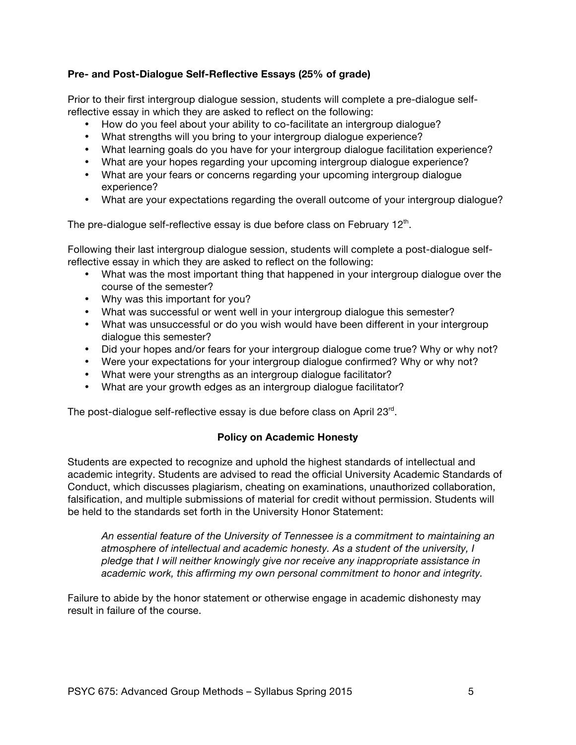# **Pre- and Post-Dialogue Self-Reflective Essays (25% of grade)**

Prior to their first intergroup dialogue session, students will complete a pre-dialogue selfreflective essay in which they are asked to reflect on the following:

- How do you feel about your ability to co-facilitate an intergroup dialogue?
- What strengths will you bring to your intergroup dialogue experience?
- What learning goals do you have for your intergroup dialogue facilitation experience?
- What are your hopes regarding your upcoming intergroup dialogue experience?
- What are your fears or concerns regarding your upcoming intergroup dialogue experience?
- What are your expectations regarding the overall outcome of your intergroup dialogue?

The pre-dialogue self-reflective essay is due before class on February  $12<sup>th</sup>$ .

Following their last intergroup dialogue session, students will complete a post-dialogue selfreflective essay in which they are asked to reflect on the following:

- What was the most important thing that happened in your intergroup dialogue over the course of the semester?
- Why was this important for you?
- What was successful or went well in your intergroup dialogue this semester?
- What was unsuccessful or do you wish would have been different in your intergroup dialogue this semester?
- Did your hopes and/or fears for your intergroup dialogue come true? Why or why not?
- Were your expectations for your intergroup dialogue confirmed? Why or why not?
- What were your strengths as an intergroup dialogue facilitator?
- What are your growth edges as an intergroup dialogue facilitator?

The post-dialogue self-reflective essay is due before class on April 23<sup>rd</sup>.

# **Policy on Academic Honesty**

Students are expected to recognize and uphold the highest standards of intellectual and academic integrity. Students are advised to read the official University Academic Standards of Conduct, which discusses plagiarism, cheating on examinations, unauthorized collaboration, falsification, and multiple submissions of material for credit without permission. Students will be held to the standards set forth in the University Honor Statement:

*An essential feature of the University of Tennessee is a commitment to maintaining an atmosphere of intellectual and academic honesty. As a student of the university, I pledge that I will neither knowingly give nor receive any inappropriate assistance in academic work, this affirming my own personal commitment to honor and integrity.*

Failure to abide by the honor statement or otherwise engage in academic dishonesty may result in failure of the course.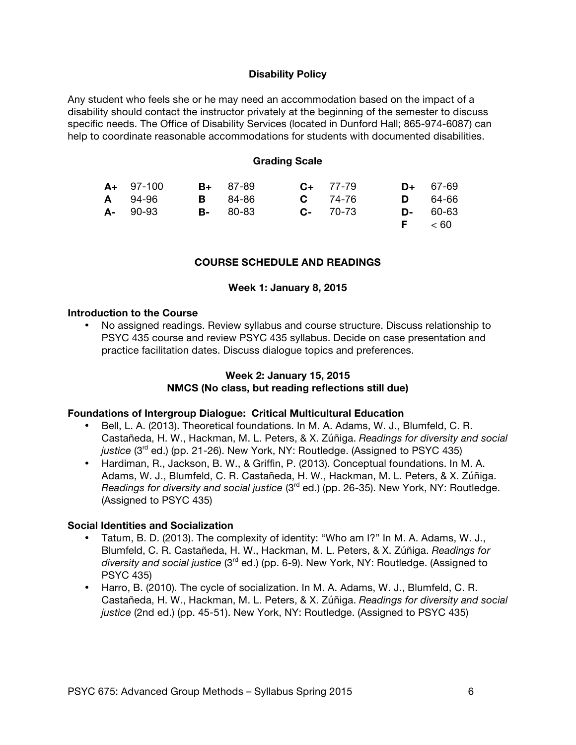#### **Disability Policy**

Any student who feels she or he may need an accommodation based on the impact of a disability should contact the instructor privately at the beginning of the semester to discuss specific needs. The Office of Disability Services (located in Dunford Hall; 865-974-6087) can help to coordinate reasonable accommodations for students with documented disabilities.

#### **Grading Scale**

| $A+ 97-100$ | $B+ 87-89$      | $C_{+}$ 77-79 | $D+ 67-69$     |
|-------------|-----------------|---------------|----------------|
| A 94-96     | <b>B</b> 84-86  | $C = 74-76$   | <b>D</b> 64-66 |
| $A - 90-93$ | <b>B-</b> 80-83 | $C - 70-73$   | $D - 60 - 63$  |
|             |                 |               | F < 60         |

#### **COURSE SCHEDULE AND READINGS**

#### **Week 1: January 8, 2015**

#### **Introduction to the Course**

• No assigned readings. Review syllabus and course structure. Discuss relationship to PSYC 435 course and review PSYC 435 syllabus. Decide on case presentation and practice facilitation dates. Discuss dialogue topics and preferences.

# **Week 2: January 15, 2015 NMCS (No class, but reading reflections still due)**

#### **Foundations of Intergroup Dialogue: Critical Multicultural Education**

- Bell, L. A. (2013). Theoretical foundations. In M. A. Adams, W. J., Blumfeld, C. R. Castañeda, H. W., Hackman, M. L. Peters, & X. Zúñiga. *Readings for diversity and social*  justice (3<sup>rd</sup> ed.) (pp. 21-26). New York, NY: Routledge. (Assigned to PSYC 435)
- Hardiman, R., Jackson, B. W., & Griffin, P. (2013). Conceptual foundations. In M. A. Adams, W. J., Blumfeld, C. R. Castañeda, H. W., Hackman, M. L. Peters, & X. Zúñiga. *Readings for diversity and social justice* (3<sup>rd</sup> ed.) (pp. 26-35). New York, NY: Routledge. (Assigned to PSYC 435)

#### **Social Identities and Socialization**

- Tatum, B. D. (2013). The complexity of identity: "Who am I?" In M. A. Adams, W. J., Blumfeld, C. R. Castañeda, H. W., Hackman, M. L. Peters, & X. Zúñiga. *Readings for diversity and social justice* (3rd ed.) (pp. 6-9). New York, NY: Routledge. (Assigned to PSYC 435)
- Harro, B. (2010). The cycle of socialization. In M. A. Adams, W. J., Blumfeld, C. R. Castañeda, H. W., Hackman, M. L. Peters, & X. Zúñiga. *Readings for diversity and social justice* (2nd ed.) (pp. 45-51). New York, NY: Routledge. (Assigned to PSYC 435)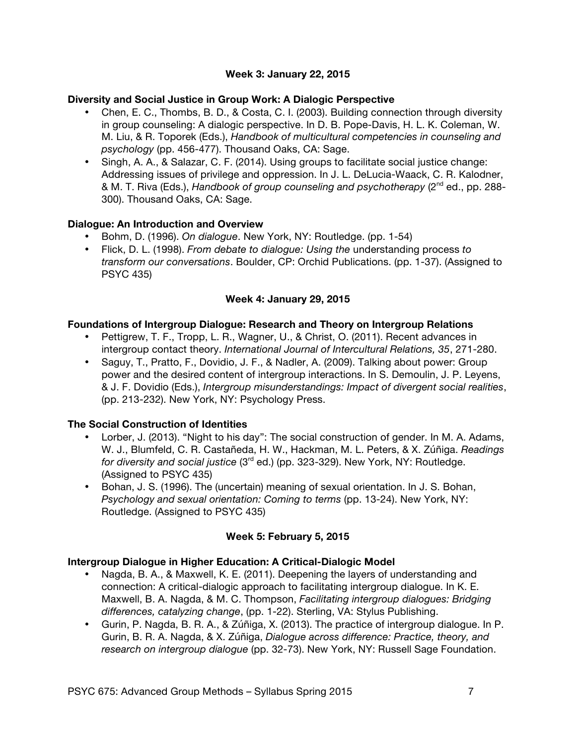# **Week 3: January 22, 2015**

# **Diversity and Social Justice in Group Work: A Dialogic Perspective**

- Chen, E. C., Thombs, B. D., & Costa, C. I. (2003). Building connection through diversity in group counseling: A dialogic perspective. In D. B. Pope-Davis, H. L. K. Coleman, W. M. Liu, & R. Toporek (Eds.), *Handbook of multicultural competencies in counseling and psychology* (pp. 456-477). Thousand Oaks, CA: Sage.
- Singh, A. A., & Salazar, C. F. (2014). Using groups to facilitate social justice change: Addressing issues of privilege and oppression. In J. L. DeLucia-Waack, C. R. Kalodner, & M. T. Riva (Eds.), *Handbook of group counseling and psychotherapy* (2<sup>nd</sup> ed., pp. 288-300). Thousand Oaks, CA: Sage.

# **Dialogue: An Introduction and Overview**

- Bohm, D. (1996). *On dialogue*. New York, NY: Routledge. (pp. 1-54)
- Flick, D. L. (1998). *From debate to dialogue: Using the* understanding process *to transform our conversations*. Boulder, CP: Orchid Publications. (pp. 1-37). (Assigned to PSYC 435)

# **Week 4: January 29, 2015**

# **Foundations of Intergroup Dialogue: Research and Theory on Intergroup Relations**

- Pettigrew, T. F., Tropp, L. R., Wagner, U., & Christ, O. (2011). Recent advances in intergroup contact theory. *International Journal of Intercultural Relations, 35*, 271-280.
- Saguy, T., Pratto, F., Dovidio, J. F., & Nadler, A. (2009). Talking about power: Group power and the desired content of intergroup interactions. In S. Demoulin, J. P. Leyens, & J. F. Dovidio (Eds.), *Intergroup misunderstandings: Impact of divergent social realities*, (pp. 213-232). New York, NY: Psychology Press.

# **The Social Construction of Identities**

- Lorber, J. (2013). "Night to his day": The social construction of gender. In M. A. Adams, W. J., Blumfeld, C. R. Castañeda, H. W., Hackman, M. L. Peters, & X. Zúñiga. *Readings for diversity and social justice* (3<sup>rd</sup> ed.) (pp. 323-329). New York, NY: Routledge. (Assigned to PSYC 435)
- Bohan, J. S. (1996). The (uncertain) meaning of sexual orientation. In J. S. Bohan, *Psychology and sexual orientation: Coming to terms* (pp. 13-24). New York, NY: Routledge. (Assigned to PSYC 435)

# **Week 5: February 5, 2015**

# **Intergroup Dialogue in Higher Education: A Critical-Dialogic Model**

- Nagda, B. A., & Maxwell, K. E. (2011). Deepening the layers of understanding and connection: A critical-dialogic approach to facilitating intergroup dialogue. In K. E. Maxwell, B. A. Nagda, & M. C. Thompson, *Facilitating intergroup dialogues: Bridging differences, catalyzing change*, (pp. 1-22). Sterling, VA: Stylus Publishing.
- Gurin, P. Nagda, B. R. A., & Zúñiga, X. (2013). The practice of intergroup dialogue. In P. Gurin, B. R. A. Nagda, & X. Zúñiga, *Dialogue across difference: Practice, theory, and research on intergroup dialogue* (pp. 32-73). New York, NY: Russell Sage Foundation.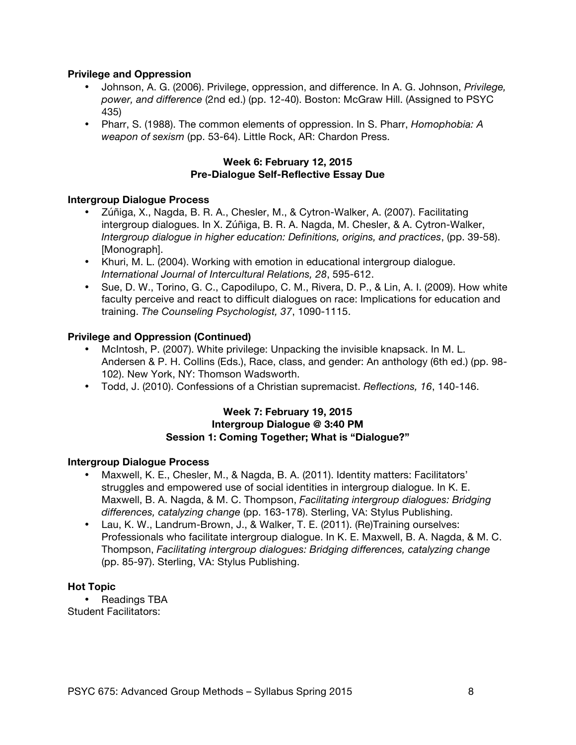# **Privilege and Oppression**

- Johnson, A. G. (2006). Privilege, oppression, and difference. In A. G. Johnson, *Privilege, power, and difference* (2nd ed.) (pp. 12-40). Boston: McGraw Hill. (Assigned to PSYC 435)
- Pharr, S. (1988). The common elements of oppression. In S. Pharr, *Homophobia: A weapon of sexism* (pp. 53-64). Little Rock, AR: Chardon Press.

#### **Week 6: February 12, 2015 Pre-Dialogue Self-Reflective Essay Due**

#### **Intergroup Dialogue Process**

- Zúñiga, X., Nagda, B. R. A., Chesler, M., & Cytron-Walker, A. (2007). Facilitating intergroup dialogues. In X. Zúñiga, B. R. A. Nagda, M. Chesler, & A. Cytron-Walker, *Intergroup dialogue in higher education: Definitions, origins, and practices*, (pp. 39-58). [Monograph].
- Khuri, M. L. (2004). Working with emotion in educational intergroup dialogue. *International Journal of Intercultural Relations, 28*, 595-612.
- Sue, D. W., Torino, G. C., Capodilupo, C. M., Rivera, D. P., & Lin, A. I. (2009). How white faculty perceive and react to difficult dialogues on race: Implications for education and training. *The Counseling Psychologist, 37*, 1090-1115.

# **Privilege and Oppression (Continued)**

- McIntosh, P. (2007). White privilege: Unpacking the invisible knapsack. In M. L. Andersen & P. H. Collins (Eds.), Race, class, and gender: An anthology (6th ed.) (pp. 98- 102). New York, NY: Thomson Wadsworth.
- Todd, J. (2010). Confessions of a Christian supremacist. *Reflections, 16*, 140-146.

#### **Week 7: February 19, 2015 Intergroup Dialogue @ 3:40 PM Session 1: Coming Together; What is "Dialogue?"**

#### **Intergroup Dialogue Process**

- Maxwell, K. E., Chesler, M., & Nagda, B. A. (2011). Identity matters: Facilitators' struggles and empowered use of social identities in intergroup dialogue. In K. E. Maxwell, B. A. Nagda, & M. C. Thompson, *Facilitating intergroup dialogues: Bridging differences, catalyzing change* (pp. 163-178). Sterling, VA: Stylus Publishing.
- Lau, K. W., Landrum-Brown, J., & Walker, T. E. (2011). (Re)Training ourselves: Professionals who facilitate intergroup dialogue. In K. E. Maxwell, B. A. Nagda, & M. C. Thompson, *Facilitating intergroup dialogues: Bridging differences, catalyzing change* (pp. 85-97). Sterling, VA: Stylus Publishing.

#### **Hot Topic**

• Readings TBA Student Facilitators: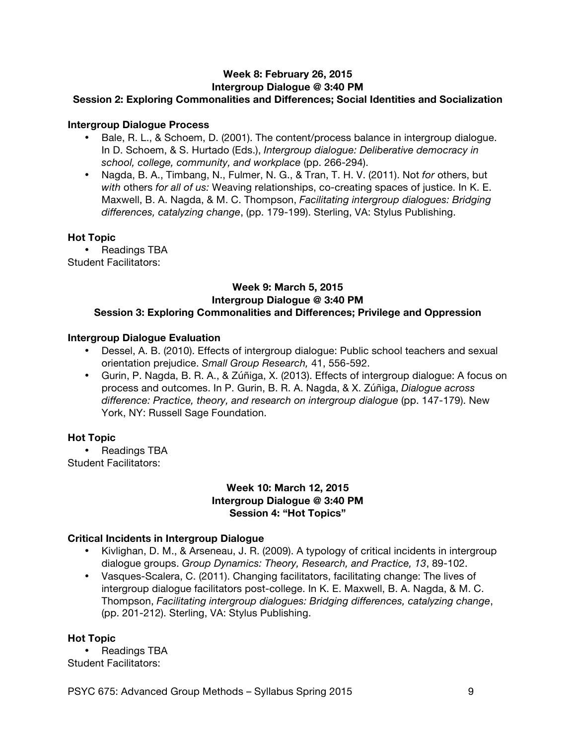# **Week 8: February 26, 2015 Intergroup Dialogue @ 3:40 PM**

# **Session 2: Exploring Commonalities and Differences; Social Identities and Socialization**

# **Intergroup Dialogue Process**

- Bale, R. L., & Schoem, D. (2001). The content/process balance in intergroup dialogue. In D. Schoem, & S. Hurtado (Eds.), *Intergroup dialogue: Deliberative democracy in school, college, community, and workplace* (pp. 266-294).
- Nagda, B. A., Timbang, N., Fulmer, N. G., & Tran, T. H. V. (2011). Not *for* others, but *with* others *for all of us:* Weaving relationships, co-creating spaces of justice. In K. E. Maxwell, B. A. Nagda, & M. C. Thompson, *Facilitating intergroup dialogues: Bridging differences, catalyzing change*, (pp. 179-199). Sterling, VA: Stylus Publishing.

#### **Hot Topic**

• Readings TBA

Student Facilitators:

#### **Week 9: March 5, 2015 Intergroup Dialogue @ 3:40 PM Session 3: Exploring Commonalities and Differences; Privilege and Oppression**

# **Intergroup Dialogue Evaluation**

- Dessel, A. B. (2010). Effects of intergroup dialogue: Public school teachers and sexual orientation prejudice. *Small Group Research,* 41, 556-592.
- Gurin, P. Nagda, B. R. A., & Zúñiga, X. (2013). Effects of intergroup dialogue: A focus on process and outcomes. In P. Gurin, B. R. A. Nagda, & X. Zúñiga, *Dialogue across difference: Practice, theory, and research on intergroup dialogue* (pp. 147-179). New York, NY: Russell Sage Foundation.

# **Hot Topic**

• Readings TBA Student Facilitators:

#### **Week 10: March 12, 2015 Intergroup Dialogue @ 3:40 PM Session 4: "Hot Topics"**

# **Critical Incidents in Intergroup Dialogue**

- Kivlighan, D. M., & Arseneau, J. R. (2009). A typology of critical incidents in intergroup dialogue groups. *Group Dynamics: Theory, Research, and Practice, 13*, 89-102.
- Vasques-Scalera, C. (2011). Changing facilitators, facilitating change: The lives of intergroup dialogue facilitators post-college. In K. E. Maxwell, B. A. Nagda, & M. C. Thompson, *Facilitating intergroup dialogues: Bridging differences, catalyzing change*, (pp. 201-212). Sterling, VA: Stylus Publishing.

#### **Hot Topic**

• Readings TBA Student Facilitators:

PSYC 675: Advanced Group Methods – Syllabus Spring 2015 9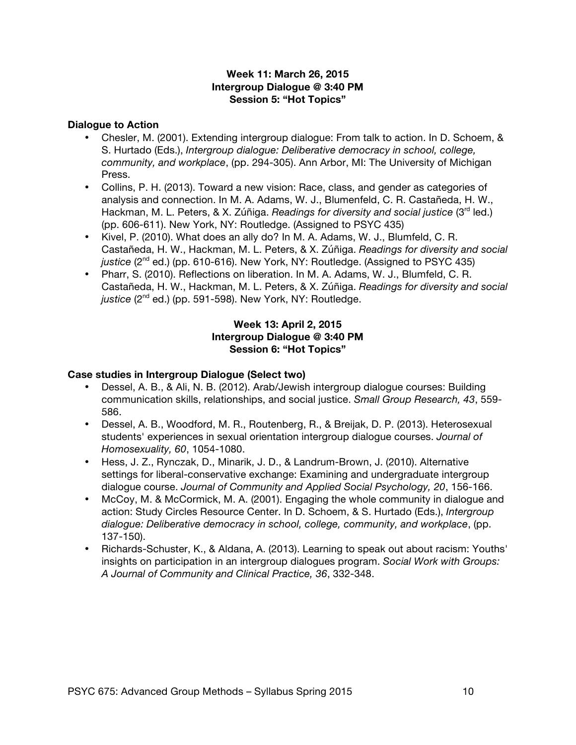# **Week 11: March 26, 2015 Intergroup Dialogue @ 3:40 PM Session 5: "Hot Topics"**

#### **Dialogue to Action**

- Chesler, M. (2001). Extending intergroup dialogue: From talk to action. In D. Schoem, & S. Hurtado (Eds.), *Intergroup dialogue: Deliberative democracy in school, college, community, and workplace*, (pp. 294-305). Ann Arbor, MI: The University of Michigan Press.
- Collins, P. H. (2013). Toward a new vision: Race, class, and gender as categories of analysis and connection. In M. A. Adams, W. J., Blumenfeld, C. R. Castañeda, H. W., Hackman, M. L. Peters, & X. Zúñiga. *Readings for diversity and social justice* (3<sup>rd</sup> led.) (pp. 606-611). New York, NY: Routledge. (Assigned to PSYC 435)
- Kivel, P. (2010). What does an ally do? In M. A. Adams, W. J., Blumfeld, C. R. Castañeda, H. W., Hackman, M. L. Peters, & X. Zúñiga. *Readings for diversity and social*  justice (2<sup>nd</sup> ed.) (pp. 610-616). New York, NY: Routledge. (Assigned to PSYC 435)
- Pharr, S. (2010). Reflections on liberation. In M. A. Adams, W. J., Blumfeld, C. R. Castañeda, H. W., Hackman, M. L. Peters, & X. Zúñiga. *Readings for diversity and social*  justice (2<sup>nd</sup> ed.) (pp. 591-598). New York, NY: Routledge.

# **Week 13: April 2, 2015 Intergroup Dialogue @ 3:40 PM Session 6: "Hot Topics"**

#### **Case studies in Intergroup Dialogue (Select two)**

- Dessel, A. B., & Ali, N. B. (2012). Arab/Jewish intergroup dialogue courses: Building communication skills, relationships, and social justice. *Small Group Research, 43*, 559- 586.
- Dessel, A. B., Woodford, M. R., Routenberg, R., & Breijak, D. P. (2013). Heterosexual students' experiences in sexual orientation intergroup dialogue courses. *Journal of Homosexuality, 60*, 1054-1080.
- Hess, J. Z., Rynczak, D., Minarik, J. D., & Landrum-Brown, J. (2010). Alternative settings for liberal-conservative exchange: Examining and undergraduate intergroup dialogue course. *Journal of Community and Applied Social Psychology, 20*, 156-166.
- McCoy, M. & McCormick, M. A. (2001). Engaging the whole community in dialogue and action: Study Circles Resource Center. In D. Schoem, & S. Hurtado (Eds.), *Intergroup dialogue: Deliberative democracy in school, college, community, and workplace*, (pp. 137-150).
- Richards-Schuster, K., & Aldana, A. (2013). Learning to speak out about racism: Youths' insights on participation in an intergroup dialogues program. *Social Work with Groups: A Journal of Community and Clinical Practice, 36*, 332-348.